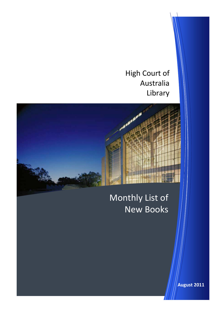High Court of Australia Library



# Monthly List of New Books

**August 2011**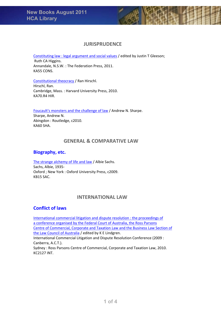

# **JURISPRUDENCE**

[Constituting](http://library.hcourt.gov.au/record=b1041661%7ES1) law : legal argument and social values / edited by Justin T Gleeson;

Ruth CA Higgins. Annandale, N.S.W. : The Federation Press, 2011. KA55 CONS.

[Constitutional](http://library.hcourt.gov.au/record=b1041672%7ES1) theocracy / Ran Hirschl. Hirschl, Ran. Cambridge, Mass. : Harvard University Press, 2010. KA70.R4 HIR.

[Foucault's](http://library.hcourt.gov.au/record=b1041673%7ES1) monsters and the challenge of law / Andrew N. Sharpe. Sharpe, Andrew N. Abingdon : Routledge, c2010. KA60 SHA.

# **GENERAL & COMPARATIVE LAW**

# **Biography, etc.**

The strange [alchemy](http://library.hcourt.gov.au/record=b1041001%7ES1) of life and law / Albie Sachs. Sachs, Albie, 1935‐ Oxford ; New York : Oxford University Press, c2009. KB15 SAC.

# **INTERNATIONAL LAW**

# **Conflict of laws**

[International](http://library.hcourt.gov.au/record=b1040720%7ES1) commercial litigation and dispute resolution : the proceedings of a [conference](http://library.hcourt.gov.au/record=b1040720%7ES1) organised by the Federal Court of Australia, the Ross Parsons Centre of [Commercial,](http://library.hcourt.gov.au/record=b1040720%7ES1) Corporate and Taxation Law and the Business Law Section of the Law Council of [Australia](http://library.hcourt.gov.au/record=b1040720%7ES1) / edited by K E Lindgren.

International Commercial Litigation and Dispute Resolution Conference (2009 : Canberra, A.C.T.).

Sydney : Ross Parsons Centre of Commercial, Corporate and Taxation Law, 2010. KC2127 INT.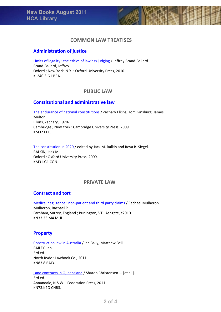

#### **Administration of justice**

Limits of legality : the ethics of lawless [judging](http://library.hcourt.gov.au/record=b1041218%7ES1) / Jeffrey Brand‐Ballard. Brand‐Ballard, Jeffrey. Oxford ; New York, N.Y. : Oxford University Press, 2010. KL240.3.G1 BRA.

# **PUBLIC LAW**

#### **Constitutional and administrative law**

The endurance of national [constitutions](http://library.hcourt.gov.au/record=b1041671%7ES1) / Zachary Elkins, Tom Ginsburg, James Melton. Elkins, Zachary, 1970‐ Cambridge ; New York : Cambridge University Press, 2009. KM32 ELK.

The [constitution](http://library.hcourt.gov.au/record=b1040293%7ES1) in 2020 / edited by Jack M. Balkin and Reva B. Siegel. BALKIN, Jack M. Oxford : Oxford University Press, 2009. KM31.G1 CON.

#### **PRIVATE LAW**

#### **Contract and tort**

Medical [negligence](http://library.hcourt.gov.au/record=b1041667%7ES1) : non-patient and third party claims / Rachael Mulheron. Mulheron, Rachael P. Farnham, Surrey, England ; Burlington, VT : Ashgate, c2010. KN33.33.M4 MUL.

#### **Property**

[Construction](http://library.hcourt.gov.au/record=b1041177%7ES1) law in Australia / Ian Baily, Matthew Bell. BAILEY, Ian. 3rd ed. North Ryde : Lawbook Co., 2011. KN83.8 BAI3.

Land contracts in [Queensland](http://library.hcourt.gov.au/record=b1041655%7ES1) / Sharon Christensen ... [et al.]. 3rd ed. Annandale, N.S.W. : Federation Press, 2011. KN73.K2Q CHR3.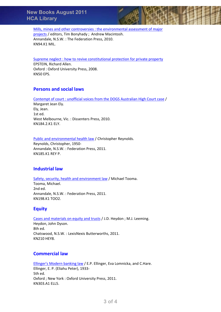Mills, mines and other controversies : the [environmental](http://library.hcourt.gov.au/record=b1041660%7ES1) assessment of major [projects](http://library.hcourt.gov.au/record=b1041660%7ES1) / editors, Tim Bonyhady ; Andrew Macintosh. Annandale, N.S.W. : The Federation Press, 2010. KN94.K1 MIL.

Supreme neglect : how to revive [constitutional](http://library.hcourt.gov.au/record=b1039686%7ES1) protection for private property EPSTEIN, Richard Allen. Oxford : Oxford University Press, 2008. KN50 EPS.

#### **Persons and social laws**

Contempt of court : unofficial voices from the DOGS [Australian](http://library.hcourt.gov.au/record=b1063548%7ES1) High Court case / Margaret Jean Ely. Ely, Jean. 1st ed. West Melbourne, Vic. : Dissenters Press, 2010. KN184.2.K1 ELY.

Public and [environmental](http://library.hcourt.gov.au/record=b1041657%7ES1) health law / Christopher Reynolds.

Reynolds, Christopher, 1950‐ Annandale, N.S.W. : Federation Press, 2011. KN185.K1 REY P.

# **Industrial law**

Safety, security, health and [environment](http://library.hcourt.gov.au/record=b1041662%7ES1) law / Michael Tooma. Tooma, Michael. 2nd ed. Annandale, N.S.W. : Federation Press, 2011. KN198.K1 TOO2.

# **Equity**

Cases and [materials](http://library.hcourt.gov.au/record=b1041663%7ES1) on equity and trusts / J.D. Heydon ; M.J. Leeming. Heydon, John Dyson. 8th ed. Chatswood, N.S.W. : LexisNexis Butterworths, 2011. KN210 HEY8.

# **Commercial law**

[Ellinger's](http://library.hcourt.gov.au/record=b1041124%7ES1) Modern banking law / E.P. Ellinger, Eva Lomnicka, and C.Hare. Ellinger, E. P. (Eliahu Peter), 1933‐ 5th ed. Oxford ; New York : Oxford University Press, 2011. KN303.A1 ELL5.